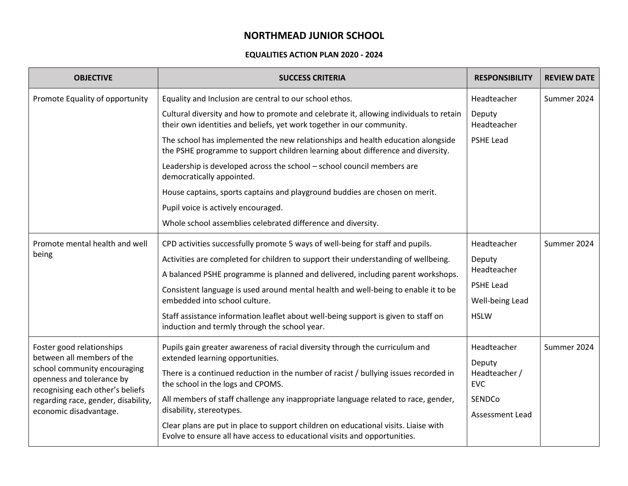## **NORTHMEAD JUNIOR SCHOOL**

## **EQUALITIES ACTION PLAN 2020 - 2024**

| <b>OBJECTIVE</b>                                                                                                                                                                                                          | <b>SUCCESS CRITERIA</b>                                                                                                                                            | <b>RESPONSIBILITY</b>       | <b>REVIEW DATE</b> |
|---------------------------------------------------------------------------------------------------------------------------------------------------------------------------------------------------------------------------|--------------------------------------------------------------------------------------------------------------------------------------------------------------------|-----------------------------|--------------------|
| Promote Equality of opportunity                                                                                                                                                                                           | Equality and Inclusion are central to our school ethos.                                                                                                            | Headteacher                 | Summer 2024        |
|                                                                                                                                                                                                                           | Cultural diversity and how to promote and celebrate it, allowing individuals to retain<br>their own identities and beliefs, yet work together in our community.    | Deputy<br>Headteacher       |                    |
|                                                                                                                                                                                                                           | The school has implemented the new relationships and health education alongside<br>the PSHE programme to support children learning about difference and diversity. | PSHE Lead                   |                    |
|                                                                                                                                                                                                                           | Leadership is developed across the school - school council members are<br>democratically appointed.                                                                |                             |                    |
|                                                                                                                                                                                                                           | House captains, sports captains and playground buddies are chosen on merit.                                                                                        |                             |                    |
|                                                                                                                                                                                                                           | Pupil voice is actively encouraged.                                                                                                                                |                             |                    |
|                                                                                                                                                                                                                           | Whole school assemblies celebrated difference and diversity.                                                                                                       |                             |                    |
| Promote mental health and well<br>being                                                                                                                                                                                   | CPD activities successfully promote 5 ways of well-being for staff and pupils.                                                                                     | Headteacher                 | Summer 2024        |
|                                                                                                                                                                                                                           | Activities are completed for children to support their understanding of wellbeing.                                                                                 | Deputy<br>Headteacher       |                    |
|                                                                                                                                                                                                                           | A balanced PSHE programme is planned and delivered, including parent workshops.                                                                                    |                             |                    |
|                                                                                                                                                                                                                           | Consistent language is used around mental health and well-being to enable it to be                                                                                 | <b>PSHE Lead</b>            |                    |
|                                                                                                                                                                                                                           | embedded into school culture.                                                                                                                                      | Well-being Lead             |                    |
|                                                                                                                                                                                                                           | Staff assistance information leaflet about well-being support is given to staff on<br>induction and termly through the school year.                                | <b>HSLW</b>                 |                    |
| Foster good relationships<br>between all members of the<br>school community encouraging<br>openness and tolerance by<br>recognising each other's beliefs<br>regarding race, gender, disability,<br>economic disadvantage. | Pupils gain greater awareness of racial diversity through the curriculum and                                                                                       | Headteacher                 | Summer 2024        |
|                                                                                                                                                                                                                           | extended learning opportunities.                                                                                                                                   | Deputy                      |                    |
|                                                                                                                                                                                                                           | There is a continued reduction in the number of racist / bullying issues recorded in<br>the school in the logs and CPOMS.                                          | Headteacher /<br><b>EVC</b> |                    |
|                                                                                                                                                                                                                           | All members of staff challenge any inappropriate language related to race, gender,<br>disability, stereotypes.                                                     | SENDCo                      |                    |
|                                                                                                                                                                                                                           |                                                                                                                                                                    | <b>Assessment Lead</b>      |                    |
|                                                                                                                                                                                                                           | Clear plans are put in place to support children on educational visits. Liaise with<br>Evolve to ensure all have access to educational visits and opportunities.   |                             |                    |